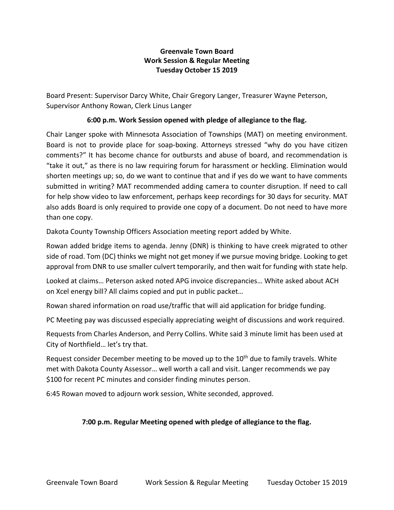## **Greenvale Town Board Work Session & Regular Meeting Tuesday October 15 2019**

Board Present: Supervisor Darcy White, Chair Gregory Langer, Treasurer Wayne Peterson, Supervisor Anthony Rowan, Clerk Linus Langer

## **6:00 p.m. Work Session opened with pledge of allegiance to the flag.**

Chair Langer spoke with Minnesota Association of Townships (MAT) on meeting environment. Board is not to provide place for soap-boxing. Attorneys stressed "why do you have citizen comments?" It has become chance for outbursts and abuse of board, and recommendation is "take it out," as there is no law requiring forum for harassment or heckling. Elimination would shorten meetings up; so, do we want to continue that and if yes do we want to have comments submitted in writing? MAT recommended adding camera to counter disruption. If need to call for help show video to law enforcement, perhaps keep recordings for 30 days for security. MAT also adds Board is only required to provide one copy of a document. Do not need to have more than one copy.

Dakota County Township Officers Association meeting report added by White.

Rowan added bridge items to agenda. Jenny (DNR) is thinking to have creek migrated to other side of road. Tom (DC) thinks we might not get money if we pursue moving bridge. Looking to get approval from DNR to use smaller culvert temporarily, and then wait for funding with state help.

Looked at claims… Peterson asked noted APG invoice discrepancies… White asked about ACH on Xcel energy bill? All claims copied and put in public packet…

Rowan shared information on road use/traffic that will aid application for bridge funding.

PC Meeting pay was discussed especially appreciating weight of discussions and work required.

Requests from Charles Anderson, and Perry Collins. White said 3 minute limit has been used at City of Northfield… let's try that.

Request consider December meeting to be moved up to the  $10<sup>th</sup>$  due to family travels. White met with Dakota County Assessor… well worth a call and visit. Langer recommends we pay \$100 for recent PC minutes and consider finding minutes person.

6:45 Rowan moved to adjourn work session, White seconded, approved.

## **7:00 p.m. Regular Meeting opened with pledge of allegiance to the flag.**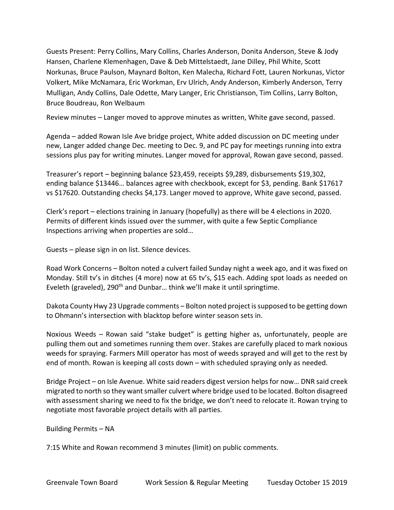Guests Present: Perry Collins, Mary Collins, Charles Anderson, Donita Anderson, Steve & Jody Hansen, Charlene Klemenhagen, Dave & Deb Mittelstaedt, Jane Dilley, Phil White, Scott Norkunas, Bruce Paulson, Maynard Bolton, Ken Malecha, Richard Fott, Lauren Norkunas, Victor Volkert, Mike McNamara, Eric Workman, Erv Ulrich, Andy Anderson, Kimberly Anderson, Terry Mulligan, Andy Collins, Dale Odette, Mary Langer, Eric Christianson, Tim Collins, Larry Bolton, Bruce Boudreau, Ron Welbaum

Review minutes – Langer moved to approve minutes as written, White gave second, passed.

Agenda – added Rowan Isle Ave bridge project, White added discussion on DC meeting under new, Langer added change Dec. meeting to Dec. 9, and PC pay for meetings running into extra sessions plus pay for writing minutes. Langer moved for approval, Rowan gave second, passed.

Treasurer's report – beginning balance \$23,459, receipts \$9,289, disbursements \$19,302, ending balance \$13446… balances agree with checkbook, except for \$3, pending. Bank \$17617 vs \$17620. Outstanding checks \$4,173. Langer moved to approve, White gave second, passed.

Clerk's report – elections training in January (hopefully) as there will be 4 elections in 2020. Permits of different kinds issued over the summer, with quite a few Septic Compliance Inspections arriving when properties are sold…

Guests – please sign in on list. Silence devices.

Road Work Concerns – Bolton noted a culvert failed Sunday night a week ago, and it was fixed on Monday. Still tv's in ditches (4 more) now at 65 tv's, \$15 each. Adding spot loads as needed on Eveleth (graveled), 290<sup>th</sup> and Dunbar... think we'll make it until springtime.

Dakota County Hwy 23 Upgrade comments – Bolton noted project is supposed to be getting down to Ohmann's intersection with blacktop before winter season sets in.

Noxious Weeds – Rowan said "stake budget" is getting higher as, unfortunately, people are pulling them out and sometimes running them over. Stakes are carefully placed to mark noxious weeds for spraying. Farmers Mill operator has most of weeds sprayed and will get to the rest by end of month. Rowan is keeping all costs down – with scheduled spraying only as needed.

Bridge Project – on Isle Avenue. White said readers digest version helps for now… DNR said creek migrated to north so they want smaller culvert where bridge used to be located. Bolton disagreed with assessment sharing we need to fix the bridge, we don't need to relocate it. Rowan trying to negotiate most favorable project details with all parties.

Building Permits – NA

7:15 White and Rowan recommend 3 minutes (limit) on public comments.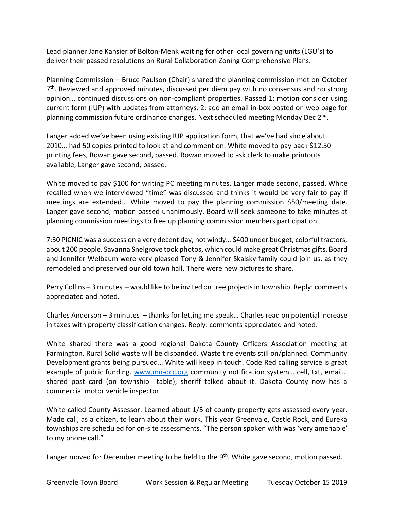Lead planner Jane Kansier of Bolton-Menk waiting for other local governing units (LGU's) to deliver their passed resolutions on Rural Collaboration Zoning Comprehensive Plans.

Planning Commission – Bruce Paulson (Chair) shared the planning commission met on October 7<sup>th</sup>. Reviewed and approved minutes, discussed per diem pay with no consensus and no strong opinion… continued discussions on non-compliant properties. Passed 1: motion consider using current form (IUP) with updates from attorneys. 2: add an email in-box posted on web page for planning commission future ordinance changes. Next scheduled meeting Monday Dec 2<sup>nd</sup>.

Langer added we've been using existing IUP application form, that we've had since about 2010… had 50 copies printed to look at and comment on. White moved to pay back \$12.50 printing fees, Rowan gave second, passed. Rowan moved to ask clerk to make printouts available, Langer gave second, passed.

White moved to pay \$100 for writing PC meeting minutes, Langer made second, passed. White recalled when we interviewed "time" was discussed and thinks it would be very fair to pay if meetings are extended… White moved to pay the planning commission \$50/meeting date. Langer gave second, motion passed unanimously. Board will seek someone to take minutes at planning commission meetings to free up planning commission members participation.

7:30 PICNIC was a success on a very decent day, not windy… \$400 under budget, colorful tractors, about 200 people. Savanna Snelgrove took photos, which could make great Christmas gifts. Board and Jennifer Welbaum were very pleased Tony & Jennifer Skalsky family could join us, as they remodeled and preserved our old town hall. There were new pictures to share.

Perry Collins – 3 minutes – would like to be invited on tree projects in township. Reply: comments appreciated and noted.

Charles Anderson – 3 minutes – thanks for letting me speak… Charles read on potential increase in taxes with property classification changes. Reply: comments appreciated and noted.

White shared there was a good regional Dakota County Officers Association meeting at Farmington. Rural Solid waste will be disbanded. Waste tire events still on/planned. Community Development grants being pursued… White will keep in touch. Code Red calling service is great example of public funding. [www.mn-dcc.org](http://www.mn-dcc.org/) community notification system... cell, txt, email... shared post card (on township table), sheriff talked about it. Dakota County now has a commercial motor vehicle inspector.

White called County Assessor. Learned about 1/5 of county property gets assessed every year. Made call, as a citizen, to learn about their work. This year Greenvale, Castle Rock, and Eureka townships are scheduled for on-site assessments. "The person spoken with was 'very amenable' to my phone call."

Langer moved for December meeting to be held to the 9<sup>th</sup>. White gave second, motion passed.